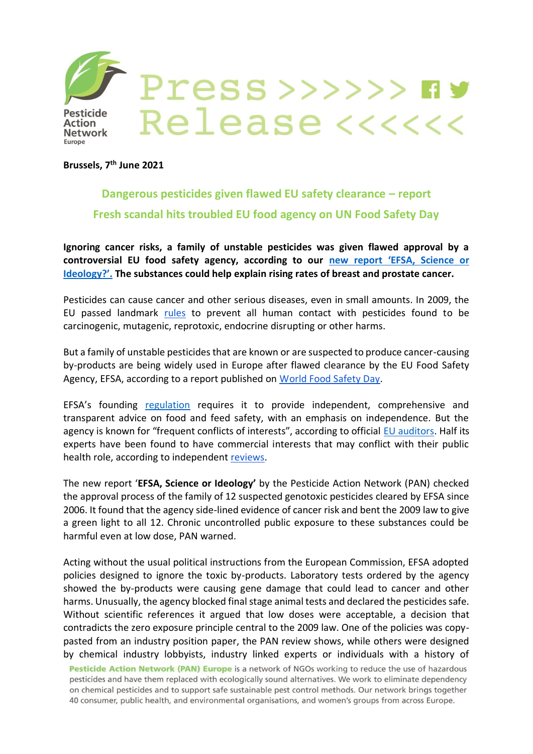

**Pesticide Action Network** Europe

Press>>>>>> ny Release <<<<<

**Brussels, 7 th June 2021**

## **Dangerous pesticides given flawed EU safety clearance – report Fresh scandal hits troubled EU food agency on UN Food Safety Day**

**Ignoring cancer risks, a family of unstable pesticides was given flawed approval by a controversial EU food safety agency, according to our new report '[EFSA, Science or](https://www.pan-europe.info/sites/pan-europe.info/files/css/EFSA%20Science%20or%20Ideology%20-%20Report.pdf)  [Ideology?](https://www.pan-europe.info/sites/pan-europe.info/files/css/EFSA%20Science%20or%20Ideology%20-%20Report.pdf)'. The substances could help explain rising rates of breast and prostate cancer.** 

Pesticides can cause cancer and other serious diseases, even in small amounts. In 2009, the EU passed landmark [rules](https://eur-lex.europa.eu/legal-content/EN/TXT/?uri=celex%3A32009R1107) to prevent all human contact with pesticides found to be carcinogenic, mutagenic, reprotoxic, endocrine disrupting or other harms.

But a family of unstable pesticides that are known or are suspected to produce cancer-causing by-products are being widely used in Europe after flawed clearance by the EU Food Safety Agency, EFSA, according to a report published on [World Food Safety Day.](https://www.who.int/news-room/campaigns/world-food-safety-day/2021)

EFSA's founding [regulation](https://eur-lex.europa.eu/legal-content/EN/TXT/?uri=celex%3A32002R0178) requires it to provide independent, comprehensive and transparent advice on food and feed safety, with an emphasis on independence. But the agency is known for "frequent conflicts of interests", according to official [EU auditors.](https://drive.google.com/file/d/1o1W2C3YO_9R4EuTlcpdmXy3TANkZ-vIq/view?usp=sharing) Half its experts have been found to have commercial interests that may conflict with their public health role, according to independent [reviews.](https://corporateeurope.org/en/pressreleases/2013/10/more-half-experts-eu-food-safety-authority-have-conflicts-interest)

The new report '**EFSA, Science or Ideology'** by the Pesticide Action Network (PAN) checked the approval process of the family of 12 suspected genotoxic pesticides cleared by EFSA since 2006. It found that the agency side-lined evidence of cancer risk and bent the 2009 law to give a green light to all 12. Chronic uncontrolled public exposure to these substances could be harmful even at low dose, PAN warned.

Acting without the usual political instructions from the European Commission, EFSA adopted policies designed to ignore the toxic by-products. Laboratory tests ordered by the agency showed the by-products were causing gene damage that could lead to cancer and other harms. Unusually, the agency blocked final stage animal tests and declared the pesticides safe. Without scientific references it argued that low doses were acceptable, a decision that contradicts the zero exposure principle central to the 2009 law. One of the policies was copypasted from an industry position paper, the PAN review shows, while others were designed by chemical industry lobbyists, industry linked experts or individuals with a history of

Pesticide Action Network (PAN) Europe is a network of NGOs working to reduce the use of hazardous pesticides and have them replaced with ecologically sound alternatives. We work to eliminate dependency on chemical pesticides and to support safe sustainable pest control methods. Our network brings together 40 consumer, public health, and environmental organisations, and women's groups from across Europe.